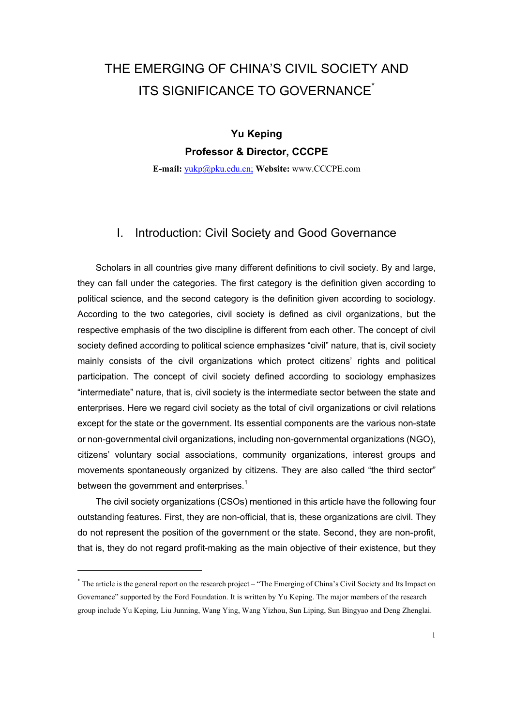# THE EMERGING OF CHINA'S CIVIL SOCIETY AND ITS SIGNIFICANCE TO GOVERNANCE<sup>[\\*](#page-0-0)</sup>

**Yu Keping Professor & Director, CCCPE** 

**E-mail:** [yukp@pku.edu.cn;](mailto:yukp@pku.edu.cn;) **Website:** www.CCCPE.com

#### I. Introduction: Civil Society and Good Governance

Scholars in all countries give many different definitions to civil society. By and large, they can fall under the categories. The first category is the definition given according to political science, and the second category is the definition given according to sociology. According to the two categories, civil society is defined as civil organizations, but the respective emphasis of the two discipline is different from each other. The concept of civil society defined according to political science emphasizes "civil" nature, that is, civil society mainly consists of the civil organizations which protect citizens' rights and political participation. The concept of civil society defined according to sociology emphasizes "intermediate" nature, that is, civil society is the intermediate sector between the state and enterprises. Here we regard civil society as the total of civil organizations or civil relations except for the state or the government. Its essential components are the various non-state or non-governmental civil organizations, including non-governmental organizations (NGO), citizens' voluntary social associations, community organizations, interest groups and movements spontaneously organized by citizens. They are also called "the third sector" between the government and enterprises.<sup>[1](#page-34-0)</sup>

The civil society organizations (CSOs) mentioned in this article have the following four outstanding features. First, they are non-official, that is, these organizations are civil. They do not represent the position of the government or the state. Second, they are non-profit, that is, they do not regard profit-making as the main objective of their existence, but they

 $\overline{a}$ 

<span id="page-0-0"></span><sup>\*</sup> The article is the general report on the research project – "The Emerging of China's Civil Society and Its Impact on Governance" supported by the Ford Foundation. It is written by Yu Keping. The major members of the research group include Yu Keping, Liu Junning, Wang Ying, Wang Yizhou, Sun Liping, Sun Bingyao and Deng Zhenglai.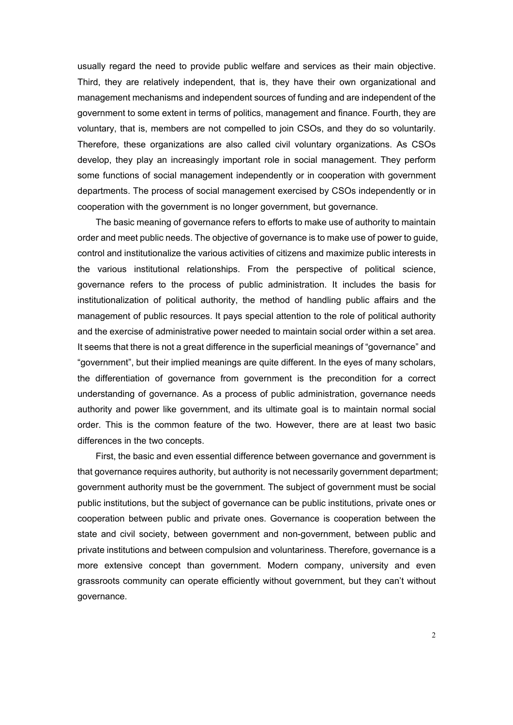usually regard the need to provide public welfare and services as their main objective. Third, they are relatively independent, that is, they have their own organizational and management mechanisms and independent sources of funding and are independent of the government to some extent in terms of politics, management and finance. Fourth, they are voluntary, that is, members are not compelled to join CSOs, and they do so voluntarily. Therefore, these organizations are also called civil voluntary organizations. As CSOs develop, they play an increasingly important role in social management. They perform some functions of social management independently or in cooperation with government departments. The process of social management exercised by CSOs independently or in cooperation with the government is no longer government, but governance.

The basic meaning of governance refers to efforts to make use of authority to maintain order and meet public needs. The objective of governance is to make use of power to guide, control and institutionalize the various activities of citizens and maximize public interests in the various institutional relationships. From the perspective of political science, governance refers to the process of public administration. It includes the basis for institutionalization of political authority, the method of handling public affairs and the management of public resources. It pays special attention to the role of political authority and the exercise of administrative power needed to maintain social order within a set area. It seems that there is not a great difference in the superficial meanings of "governance" and "government", but their implied meanings are quite different. In the eyes of many scholars, the differentiation of governance from government is the precondition for a correct understanding of governance. As a process of public administration, governance needs authority and power like government, and its ultimate goal is to maintain normal social order. This is the common feature of the two. However, there are at least two basic differences in the two concepts.

First, the basic and even essential difference between governance and government is that governance requires authority, but authority is not necessarily government department; government authority must be the government. The subject of government must be social public institutions, but the subject of governance can be public institutions, private ones or cooperation between public and private ones. Governance is cooperation between the state and civil society, between government and non-government, between public and private institutions and between compulsion and voluntariness. Therefore, governance is a more extensive concept than government. Modern company, university and even grassroots community can operate efficiently without government, but they can't without governance.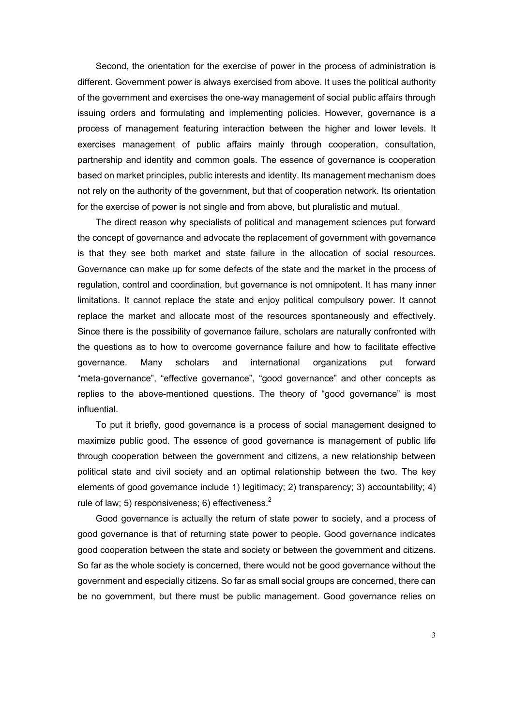Second, the orientation for the exercise of power in the process of administration is different. Government power is always exercised from above. It uses the political authority of the government and exercises the one-way management of social public affairs through issuing orders and formulating and implementing policies. However, governance is a process of management featuring interaction between the higher and lower levels. It exercises management of public affairs mainly through cooperation, consultation, partnership and identity and common goals. The essence of governance is cooperation based on market principles, public interests and identity. Its management mechanism does not rely on the authority of the government, but that of cooperation network. Its orientation for the exercise of power is not single and from above, but pluralistic and mutual.

The direct reason why specialists of political and management sciences put forward the concept of governance and advocate the replacement of government with governance is that they see both market and state failure in the allocation of social resources. Governance can make up for some defects of the state and the market in the process of regulation, control and coordination, but governance is not omnipotent. It has many inner limitations. It cannot replace the state and enjoy political compulsory power. It cannot replace the market and allocate most of the resources spontaneously and effectively. Since there is the possibility of governance failure, scholars are naturally confronted with the questions as to how to overcome governance failure and how to facilitate effective governance. Many scholars and international organizations put forward "meta-governance", "effective governance", "good governance" and other concepts as replies to the above-mentioned questions. The theory of "good governance" is most influential.

To put it briefly, good governance is a process of social management designed to maximize public good. The essence of good governance is management of public life through cooperation between the government and citizens, a new relationship between political state and civil society and an optimal relationship between the two. The key elements of good governance include 1) legitimacy; 2) transparency; 3) accountability; 4) rule of law; 5) responsiveness; 6) effectiveness. $2$ 

Good governance is actually the return of state power to society, and a process of good governance is that of returning state power to people. Good governance indicates good cooperation between the state and society or between the government and citizens. So far as the whole society is concerned, there would not be good governance without the government and especially citizens. So far as small social groups are concerned, there can be no government, but there must be public management. Good governance relies on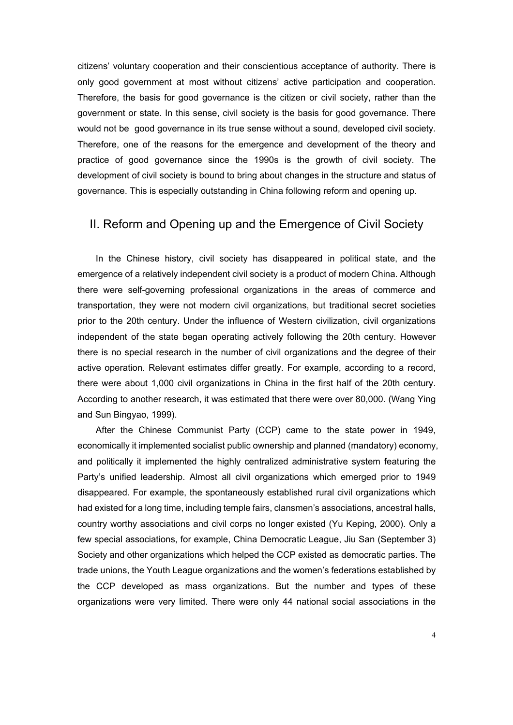citizens' voluntary cooperation and their conscientious acceptance of authority. There is only good government at most without citizens' active participation and cooperation. Therefore, the basis for good governance is the citizen or civil society, rather than the government or state. In this sense, civil society is the basis for good governance. There would not be good governance in its true sense without a sound, developed civil society. Therefore, one of the reasons for the emergence and development of the theory and practice of good governance since the 1990s is the growth of civil society. The development of civil society is bound to bring about changes in the structure and status of governance. This is especially outstanding in China following reform and opening up.

### II. Reform and Opening up and the Emergence of Civil Society

In the Chinese history, civil society has disappeared in political state, and the emergence of a relatively independent civil society is a product of modern China. Although there were self-governing professional organizations in the areas of commerce and transportation, they were not modern civil organizations, but traditional secret societies prior to the 20th century. Under the influence of Western civilization, civil organizations independent of the state began operating actively following the 20th century. However there is no special research in the number of civil organizations and the degree of their active operation. Relevant estimates differ greatly. For example, according to a record, there were about 1,000 civil organizations in China in the first half of the 20th century. According to another research, it was estimated that there were over 80,000. (Wang Ying and Sun Bingyao, 1999).

After the Chinese Communist Party (CCP) came to the state power in 1949, economically it implemented socialist public ownership and planned (mandatory) economy, and politically it implemented the highly centralized administrative system featuring the Party's unified leadership. Almost all civil organizations which emerged prior to 1949 disappeared. For example, the spontaneously established rural civil organizations which had existed for a long time, including temple fairs, clansmen's associations, ancestral halls, country worthy associations and civil corps no longer existed (Yu Keping, 2000). Only a few special associations, for example, China Democratic League, Jiu San (September 3) Society and other organizations which helped the CCP existed as democratic parties. The trade unions, the Youth League organizations and the women's federations established by the CCP developed as mass organizations. But the number and types of these organizations were very limited. There were only 44 national social associations in the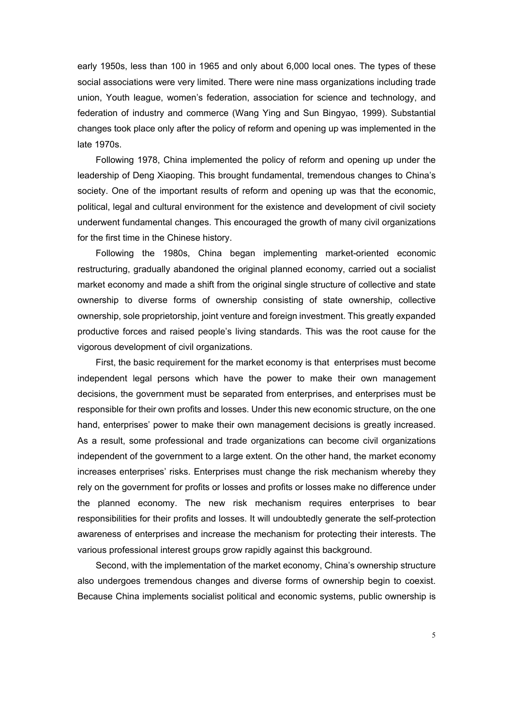early 1950s, less than 100 in 1965 and only about 6,000 local ones. The types of these social associations were very limited. There were nine mass organizations including trade union, Youth league, women's federation, association for science and technology, and federation of industry and commerce (Wang Ying and Sun Bingyao, 1999). Substantial changes took place only after the policy of reform and opening up was implemented in the late 1970s.

Following 1978, China implemented the policy of reform and opening up under the leadership of Deng Xiaoping. This brought fundamental, tremendous changes to China's society. One of the important results of reform and opening up was that the economic, political, legal and cultural environment for the existence and development of civil society underwent fundamental changes. This encouraged the growth of many civil organizations for the first time in the Chinese history.

Following the 1980s, China began implementing market-oriented economic restructuring, gradually abandoned the original planned economy, carried out a socialist market economy and made a shift from the original single structure of collective and state ownership to diverse forms of ownership consisting of state ownership, collective ownership, sole proprietorship, joint venture and foreign investment. This greatly expanded productive forces and raised people's living standards. This was the root cause for the vigorous development of civil organizations.

First, the basic requirement for the market economy is that enterprises must become independent legal persons which have the power to make their own management decisions, the government must be separated from enterprises, and enterprises must be responsible for their own profits and losses. Under this new economic structure, on the one hand, enterprises' power to make their own management decisions is greatly increased. As a result, some professional and trade organizations can become civil organizations independent of the government to a large extent. On the other hand, the market economy increases enterprises' risks. Enterprises must change the risk mechanism whereby they rely on the government for profits or losses and profits or losses make no difference under the planned economy. The new risk mechanism requires enterprises to bear responsibilities for their profits and losses. It will undoubtedly generate the self-protection awareness of enterprises and increase the mechanism for protecting their interests. The various professional interest groups grow rapidly against this background.

Second, with the implementation of the market economy, China's ownership structure also undergoes tremendous changes and diverse forms of ownership begin to coexist. Because China implements socialist political and economic systems, public ownership is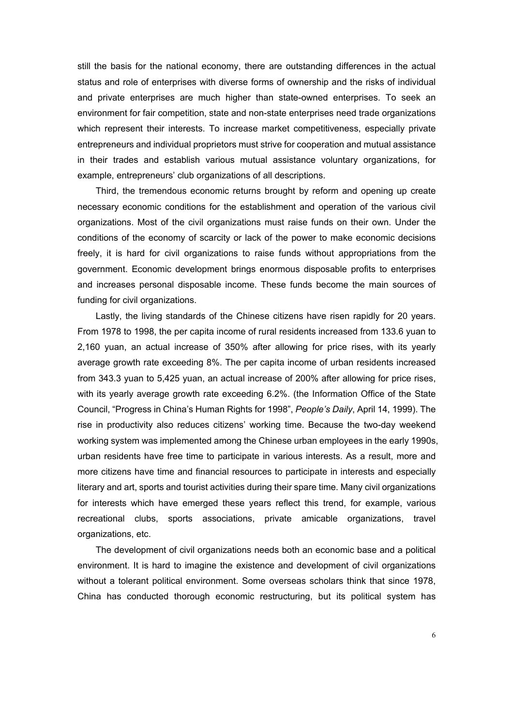still the basis for the national economy, there are outstanding differences in the actual status and role of enterprises with diverse forms of ownership and the risks of individual and private enterprises are much higher than state-owned enterprises. To seek an environment for fair competition, state and non-state enterprises need trade organizations which represent their interests. To increase market competitiveness, especially private entrepreneurs and individual proprietors must strive for cooperation and mutual assistance in their trades and establish various mutual assistance voluntary organizations, for example, entrepreneurs' club organizations of all descriptions.

Third, the tremendous economic returns brought by reform and opening up create necessary economic conditions for the establishment and operation of the various civil organizations. Most of the civil organizations must raise funds on their own. Under the conditions of the economy of scarcity or lack of the power to make economic decisions freely, it is hard for civil organizations to raise funds without appropriations from the government. Economic development brings enormous disposable profits to enterprises and increases personal disposable income. These funds become the main sources of funding for civil organizations.

Lastly, the living standards of the Chinese citizens have risen rapidly for 20 years. From 1978 to 1998, the per capita income of rural residents increased from 133.6 yuan to 2,160 yuan, an actual increase of 350% after allowing for price rises, with its yearly average growth rate exceeding 8%. The per capita income of urban residents increased from 343.3 yuan to 5,425 yuan, an actual increase of 200% after allowing for price rises, with its yearly average growth rate exceeding 6.2%. (the Information Office of the State Council, "Progress in China's Human Rights for 1998", *People's Daily*, April 14, 1999). The rise in productivity also reduces citizens' working time. Because the two-day weekend working system was implemented among the Chinese urban employees in the early 1990s, urban residents have free time to participate in various interests. As a result, more and more citizens have time and financial resources to participate in interests and especially literary and art, sports and tourist activities during their spare time. Many civil organizations for interests which have emerged these years reflect this trend, for example, various recreational clubs, sports associations, private amicable organizations, travel organizations, etc.

The development of civil organizations needs both an economic base and a political environment. It is hard to imagine the existence and development of civil organizations without a tolerant political environment. Some overseas scholars think that since 1978, China has conducted thorough economic restructuring, but its political system has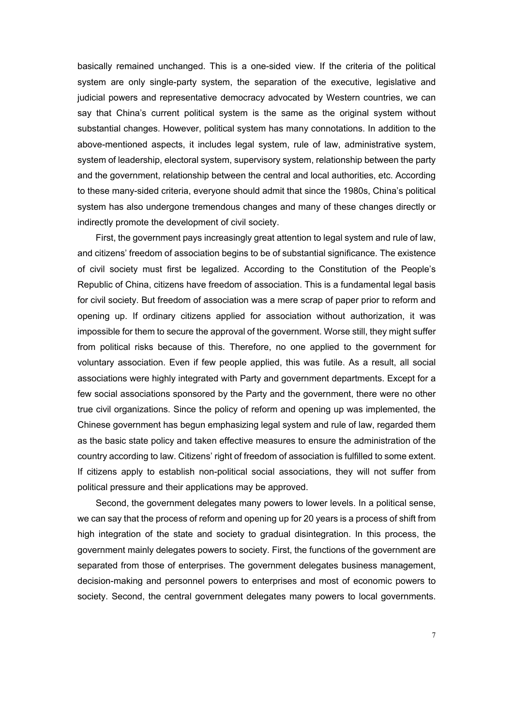basically remained unchanged. This is a one-sided view. If the criteria of the political system are only single-party system, the separation of the executive, legislative and judicial powers and representative democracy advocated by Western countries, we can say that China's current political system is the same as the original system without substantial changes. However, political system has many connotations. In addition to the above-mentioned aspects, it includes legal system, rule of law, administrative system, system of leadership, electoral system, supervisory system, relationship between the party and the government, relationship between the central and local authorities, etc. According to these many-sided criteria, everyone should admit that since the 1980s, China's political system has also undergone tremendous changes and many of these changes directly or indirectly promote the development of civil society.

First, the government pays increasingly great attention to legal system and rule of law, and citizens' freedom of association begins to be of substantial significance. The existence of civil society must first be legalized. According to the Constitution of the People's Republic of China, citizens have freedom of association. This is a fundamental legal basis for civil society. But freedom of association was a mere scrap of paper prior to reform and opening up. If ordinary citizens applied for association without authorization, it was impossible for them to secure the approval of the government. Worse still, they might suffer from political risks because of this. Therefore, no one applied to the government for voluntary association. Even if few people applied, this was futile. As a result, all social associations were highly integrated with Party and government departments. Except for a few social associations sponsored by the Party and the government, there were no other true civil organizations. Since the policy of reform and opening up was implemented, the Chinese government has begun emphasizing legal system and rule of law, regarded them as the basic state policy and taken effective measures to ensure the administration of the country according to law. Citizens' right of freedom of association is fulfilled to some extent. If citizens apply to establish non-political social associations, they will not suffer from political pressure and their applications may be approved.

Second, the government delegates many powers to lower levels. In a political sense, we can say that the process of reform and opening up for 20 years is a process of shift from high integration of the state and society to gradual disintegration. In this process, the government mainly delegates powers to society. First, the functions of the government are separated from those of enterprises. The government delegates business management, decision-making and personnel powers to enterprises and most of economic powers to society. Second, the central government delegates many powers to local governments.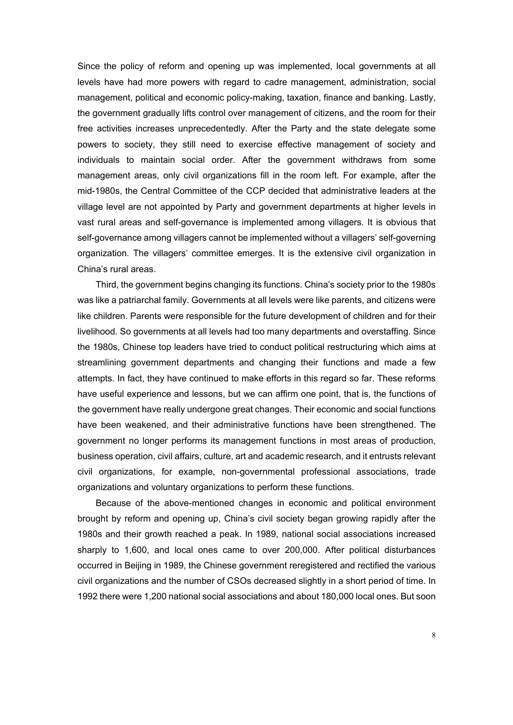Since the policy of reform and opening up was implemented, local governments at all levels have had more powers with regard to cadre management, administration, social management, political and economic policy-making, taxation, finance and banking. Lastly, the government gradually lifts control over management of citizens, and the room for their free activities increases unprecedentedly. After the Party and the state delegate some powers to society, they still need to exercise effective management of society and individuals to maintain social order. After the government withdraws from some management areas, only civil organizations fill in the room left. For example, after the mid-1980s, the Central Committee of the CCP decided that administrative leaders at the village level are not appointed by Party and government departments at higher levels in vast rural areas and self-governance is implemented among villagers. It is obvious that self-governance among villagers cannot be implemented without a villagers' self-governing organization. The villagers' committee emerges. It is the extensive civil organization in China's rural areas.

Third, the government begins changing its functions. China's society prior to the 1980s was like a patriarchal family. Governments at all levels were like parents, and citizens were like children. Parents were responsible for the future development of children and for their livelihood. So governments at all levels had too many departments and overstaffing. Since the 1980s, Chinese top leaders have tried to conduct political restructuring which aims at streamlining government departments and changing their functions and made a few attempts. In fact, they have continued to make efforts in this regard so far. These reforms have useful experience and lessons, but we can affirm one point, that is, the functions of the government have really undergone great changes. Their economic and social functions have been weakened, and their administrative functions have been strengthened. The government no longer performs its management functions in most areas of production, business operation, civil affairs, culture, art and academic research, and it entrusts relevant civil organizations, for example, non-governmental professional associations, trade organizations and voluntary organizations to perform these functions.

Because of the above-mentioned changes in economic and political environment brought by reform and opening up, China's civil society began growing rapidly after the 1980s and their growth reached a peak. In 1989, national social associations increased sharply to 1,600, and local ones came to over 200,000. After political disturbances occurred in Beijing in 1989, the Chinese government reregistered and rectified the various civil organizations and the number of CSOs decreased slightly in a short period of time. In 1992 there were 1,200 national social associations and about 180,000 local ones. But soon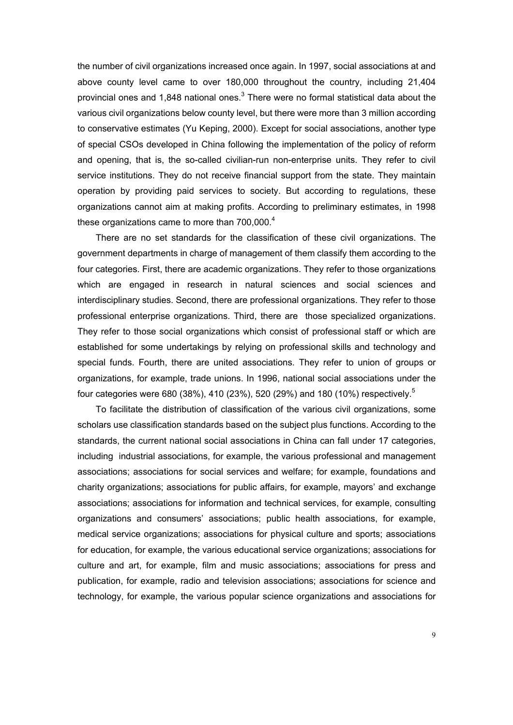the number of civil organizations increased once again. In 1997, social associations at and above county level came to over 180,000 throughout the country, including 21,404 provincial ones and 1,848 national ones. $^3$  $^3$  There were no formal statistical data about the various civil organizations below county level, but there were more than 3 million according to conservative estimates (Yu Keping, 2000). Except for social associations, another type of special CSOs developed in China following the implementation of the policy of reform and opening, that is, the so-called civilian-run non-enterprise units. They refer to civil service institutions. They do not receive financial support from the state. They maintain operation by providing paid services to society. But according to regulations, these organizations cannot aim at making profits. According to preliminary estimates, in 1998 theseorganizations came to more than 700,000. $4$ 

There are no set standards for the classification of these civil organizations. The government departments in charge of management of them classify them according to the four categories. First, there are academic organizations. They refer to those organizations which are engaged in research in natural sciences and social sciences and interdisciplinary studies. Second, there are professional organizations. They refer to those professional enterprise organizations. Third, there are those specialized organizations. They refer to those social organizations which consist of professional staff or which are established for some undertakings by relying on professional skills and technology and special funds. Fourth, there are united associations. They refer to union of groups or organizations, for example, trade unions. In 1996, national social associations under the four categories were 680 (38%), 410 (23%), [5](#page-34-4)20 (29%) and 180 (10%) respectively.<sup>5</sup>

To facilitate the distribution of classification of the various civil organizations, some scholars use classification standards based on the subject plus functions. According to the standards, the current national social associations in China can fall under 17 categories, including industrial associations, for example, the various professional and management associations; associations for social services and welfare; for example, foundations and charity organizations; associations for public affairs, for example, mayors' and exchange associations; associations for information and technical services, for example, consulting organizations and consumers' associations; public health associations, for example, medical service organizations; associations for physical culture and sports; associations for education, for example, the various educational service organizations; associations for culture and art, for example, film and music associations; associations for press and publication, for example, radio and television associations; associations for science and technology, for example, the various popular science organizations and associations for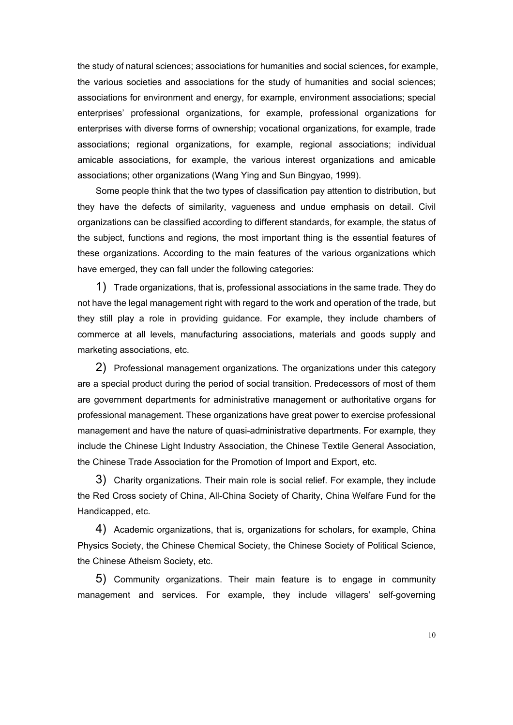the study of natural sciences; associations for humanities and social sciences, for example, the various societies and associations for the study of humanities and social sciences; associations for environment and energy, for example, environment associations; special enterprises' professional organizations, for example, professional organizations for enterprises with diverse forms of ownership; vocational organizations, for example, trade associations; regional organizations, for example, regional associations; individual amicable associations, for example, the various interest organizations and amicable associations; other organizations (Wang Ying and Sun Bingyao, 1999).

Some people think that the two types of classification pay attention to distribution, but they have the defects of similarity, vagueness and undue emphasis on detail. Civil organizations can be classified according to different standards, for example, the status of the subject, functions and regions, the most important thing is the essential features of these organizations. According to the main features of the various organizations which have emerged, they can fall under the following categories:

1) Trade organizations, that is, professional associations in the same trade. They do not have the legal management right with regard to the work and operation of the trade, but they still play a role in providing guidance. For example, they include chambers of commerce at all levels, manufacturing associations, materials and goods supply and marketing associations, etc.

2) Professional management organizations. The organizations under this category are a special product during the period of social transition. Predecessors of most of them are government departments for administrative management or authoritative organs for professional management. These organizations have great power to exercise professional management and have the nature of quasi-administrative departments. For example, they include the Chinese Light Industry Association, the Chinese Textile General Association, the Chinese Trade Association for the Promotion of Import and Export, etc.

3) Charity organizations. Their main role is social relief. For example, they include the Red Cross society of China, All-China Society of Charity, China Welfare Fund for the Handicapped, etc.

4) Academic organizations, that is, organizations for scholars, for example, China Physics Society, the Chinese Chemical Society, the Chinese Society of Political Science, the Chinese Atheism Society, etc.

5) Community organizations. Their main feature is to engage in community management and services. For example, they include villagers' self-governing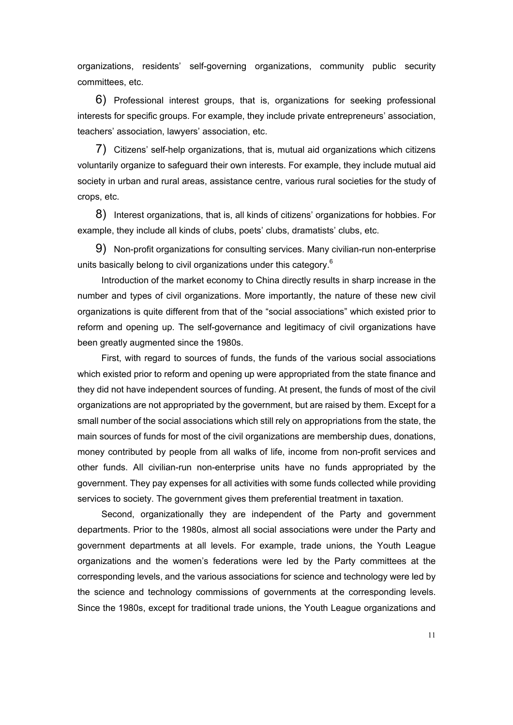organizations, residents' self-governing organizations, community public security committees, etc.

6) Professional interest groups, that is, organizations for seeking professional interests for specific groups. For example, they include private entrepreneurs' association, teachers' association, lawyers' association, etc.

7) Citizens' self-help organizations, that is, mutual aid organizations which citizens voluntarily organize to safeguard their own interests. For example, they include mutual aid society in urban and rural areas, assistance centre, various rural societies for the study of crops, etc.

8) Interest organizations, that is, all kinds of citizens' organizations for hobbies. For example, they include all kinds of clubs, poets' clubs, dramatists' clubs, etc.

9) Non-profit organizations for consulting services. Many civilian-run non-enterprise units basically belong to civil organizations under this category.<sup>[6](#page-34-5)</sup>

Introduction of the market economy to China directly results in sharp increase in the number and types of civil organizations. More importantly, the nature of these new civil organizations is quite different from that of the "social associations" which existed prior to reform and opening up. The self-governance and legitimacy of civil organizations have been greatly augmented since the 1980s.

First, with regard to sources of funds, the funds of the various social associations which existed prior to reform and opening up were appropriated from the state finance and they did not have independent sources of funding. At present, the funds of most of the civil organizations are not appropriated by the government, but are raised by them. Except for a small number of the social associations which still rely on appropriations from the state, the main sources of funds for most of the civil organizations are membership dues, donations, money contributed by people from all walks of life, income from non-profit services and other funds. All civilian-run non-enterprise units have no funds appropriated by the government. They pay expenses for all activities with some funds collected while providing services to society. The government gives them preferential treatment in taxation.

Second, organizationally they are independent of the Party and government departments. Prior to the 1980s, almost all social associations were under the Party and government departments at all levels. For example, trade unions, the Youth League organizations and the women's federations were led by the Party committees at the corresponding levels, and the various associations for science and technology were led by the science and technology commissions of governments at the corresponding levels. Since the 1980s, except for traditional trade unions, the Youth League organizations and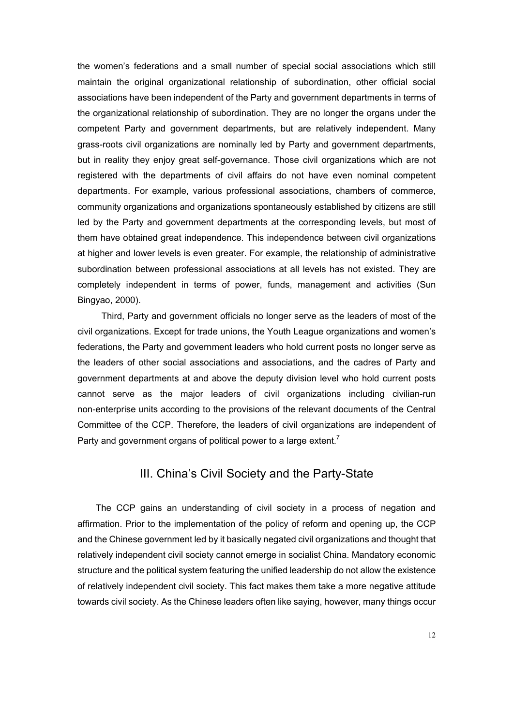the women's federations and a small number of special social associations which still maintain the original organizational relationship of subordination, other official social associations have been independent of the Party and government departments in terms of the organizational relationship of subordination. They are no longer the organs under the competent Party and government departments, but are relatively independent. Many grass-roots civil organizations are nominally led by Party and government departments, but in reality they enjoy great self-governance. Those civil organizations which are not registered with the departments of civil affairs do not have even nominal competent departments. For example, various professional associations, chambers of commerce, community organizations and organizations spontaneously established by citizens are still led by the Party and government departments at the corresponding levels, but most of them have obtained great independence. This independence between civil organizations at higher and lower levels is even greater. For example, the relationship of administrative subordination between professional associations at all levels has not existed. They are completely independent in terms of power, funds, management and activities (Sun Bingyao, 2000).

Third, Party and government officials no longer serve as the leaders of most of the civil organizations. Except for trade unions, the Youth League organizations and women's federations, the Party and government leaders who hold current posts no longer serve as the leaders of other social associations and associations, and the cadres of Party and government departments at and above the deputy division level who hold current posts cannot serve as the major leaders of civil organizations including civilian-run non-enterprise units according to the provisions of the relevant documents of the Central Committee of the CCP. Therefore, the leaders of civil organizations are independent of Partyand government organs of political power to a large extent.<sup>7</sup>

### III. China's Civil Society and the Party-State

The CCP gains an understanding of civil society in a process of negation and affirmation. Prior to the implementation of the policy of reform and opening up, the CCP and the Chinese government led by it basically negated civil organizations and thought that relatively independent civil society cannot emerge in socialist China. Mandatory economic structure and the political system featuring the unified leadership do not allow the existence of relatively independent civil society. This fact makes them take a more negative attitude towards civil society. As the Chinese leaders often like saying, however, many things occur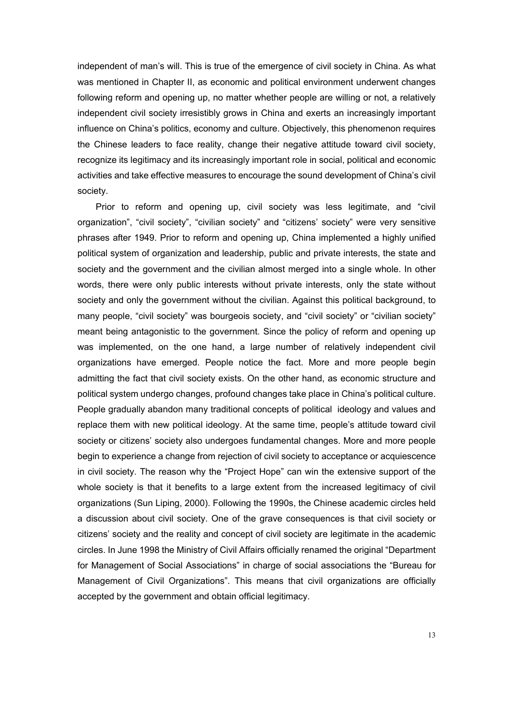independent of man's will. This is true of the emergence of civil society in China. As what was mentioned in Chapter II, as economic and political environment underwent changes following reform and opening up, no matter whether people are willing or not, a relatively independent civil society irresistibly grows in China and exerts an increasingly important influence on China's politics, economy and culture. Objectively, this phenomenon requires the Chinese leaders to face reality, change their negative attitude toward civil society, recognize its legitimacy and its increasingly important role in social, political and economic activities and take effective measures to encourage the sound development of China's civil society.

Prior to reform and opening up, civil society was less legitimate, and "civil organization", "civil society", "civilian society" and "citizens' society" were very sensitive phrases after 1949. Prior to reform and opening up, China implemented a highly unified political system of organization and leadership, public and private interests, the state and society and the government and the civilian almost merged into a single whole. In other words, there were only public interests without private interests, only the state without society and only the government without the civilian. Against this political background, to many people, "civil society" was bourgeois society, and "civil society" or "civilian society" meant being antagonistic to the government. Since the policy of reform and opening up was implemented, on the one hand, a large number of relatively independent civil organizations have emerged. People notice the fact. More and more people begin admitting the fact that civil society exists. On the other hand, as economic structure and political system undergo changes, profound changes take place in China's political culture. People gradually abandon many traditional concepts of political ideology and values and replace them with new political ideology. At the same time, people's attitude toward civil society or citizens' society also undergoes fundamental changes. More and more people begin to experience a change from rejection of civil society to acceptance or acquiescence in civil society. The reason why the "Project Hope" can win the extensive support of the whole society is that it benefits to a large extent from the increased legitimacy of civil organizations (Sun Liping, 2000). Following the 1990s, the Chinese academic circles held a discussion about civil society. One of the grave consequences is that civil society or citizens' society and the reality and concept of civil society are legitimate in the academic circles. In June 1998 the Ministry of Civil Affairs officially renamed the original "Department for Management of Social Associations" in charge of social associations the "Bureau for Management of Civil Organizations". This means that civil organizations are officially accepted by the government and obtain official legitimacy.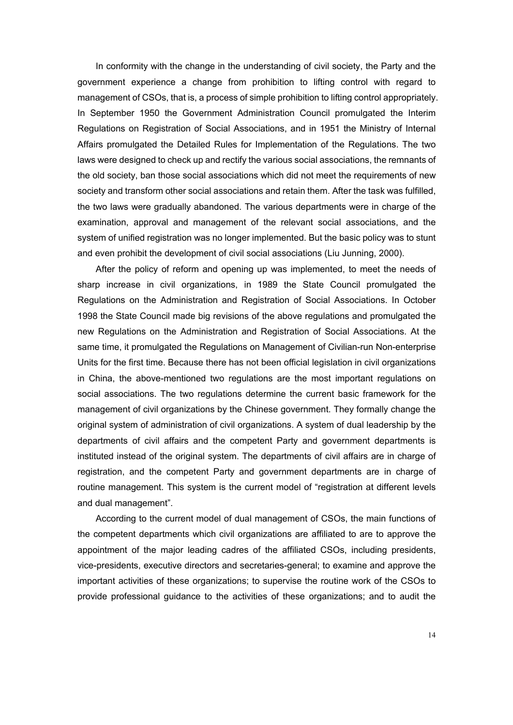In conformity with the change in the understanding of civil society, the Party and the government experience a change from prohibition to lifting control with regard to management of CSOs, that is, a process of simple prohibition to lifting control appropriately. In September 1950 the Government Administration Council promulgated the Interim Regulations on Registration of Social Associations, and in 1951 the Ministry of Internal Affairs promulgated the Detailed Rules for Implementation of the Regulations. The two laws were designed to check up and rectify the various social associations, the remnants of the old society, ban those social associations which did not meet the requirements of new society and transform other social associations and retain them. After the task was fulfilled, the two laws were gradually abandoned. The various departments were in charge of the examination, approval and management of the relevant social associations, and the system of unified registration was no longer implemented. But the basic policy was to stunt and even prohibit the development of civil social associations (Liu Junning, 2000).

After the policy of reform and opening up was implemented, to meet the needs of sharp increase in civil organizations, in 1989 the State Council promulgated the Regulations on the Administration and Registration of Social Associations. In October 1998 the State Council made big revisions of the above regulations and promulgated the new Regulations on the Administration and Registration of Social Associations. At the same time, it promulgated the Regulations on Management of Civilian-run Non-enterprise Units for the first time. Because there has not been official legislation in civil organizations in China, the above-mentioned two regulations are the most important regulations on social associations. The two regulations determine the current basic framework for the management of civil organizations by the Chinese government. They formally change the original system of administration of civil organizations. A system of dual leadership by the departments of civil affairs and the competent Party and government departments is instituted instead of the original system. The departments of civil affairs are in charge of registration, and the competent Party and government departments are in charge of routine management. This system is the current model of "registration at different levels and dual management".

According to the current model of dual management of CSOs, the main functions of the competent departments which civil organizations are affiliated to are to approve the appointment of the major leading cadres of the affiliated CSOs, including presidents, vice-presidents, executive directors and secretaries-general; to examine and approve the important activities of these organizations; to supervise the routine work of the CSOs to provide professional guidance to the activities of these organizations; and to audit the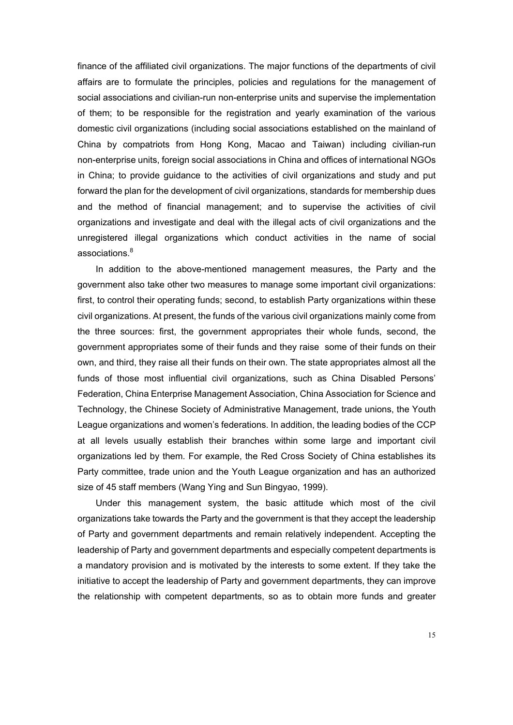finance of the affiliated civil organizations. The major functions of the departments of civil affairs are to formulate the principles, policies and regulations for the management of social associations and civilian-run non-enterprise units and supervise the implementation of them; to be responsible for the registration and yearly examination of the various domestic civil organizations (including social associations established on the mainland of China by compatriots from Hong Kong, Macao and Taiwan) including civilian-run non-enterprise units, foreign social associations in China and offices of international NGOs in China; to provide guidance to the activities of civil organizations and study and put forward the plan for the development of civil organizations, standards for membership dues and the method of financial management; and to supervise the activities of civil organizations and investigate and deal with the illegal acts of civil organizations and the unregistered illegal organizations which conduct activities in the name of social associations.<sup>[8](#page-34-7)</sup>

In addition to the above-mentioned management measures, the Party and the government also take other two measures to manage some important civil organizations: first, to control their operating funds; second, to establish Party organizations within these civil organizations. At present, the funds of the various civil organizations mainly come from the three sources: first, the government appropriates their whole funds, second, the government appropriates some of their funds and they raise some of their funds on their own, and third, they raise all their funds on their own. The state appropriates almost all the funds of those most influential civil organizations, such as China Disabled Persons' Federation, China Enterprise Management Association, China Association for Science and Technology, the Chinese Society of Administrative Management, trade unions, the Youth League organizations and women's federations. In addition, the leading bodies of the CCP at all levels usually establish their branches within some large and important civil organizations led by them. For example, the Red Cross Society of China establishes its Party committee, trade union and the Youth League organization and has an authorized size of 45 staff members (Wang Ying and Sun Bingyao, 1999).

Under this management system, the basic attitude which most of the civil organizations take towards the Party and the government is that they accept the leadership of Party and government departments and remain relatively independent. Accepting the leadership of Party and government departments and especially competent departments is a mandatory provision and is motivated by the interests to some extent. If they take the initiative to accept the leadership of Party and government departments, they can improve the relationship with competent departments, so as to obtain more funds and greater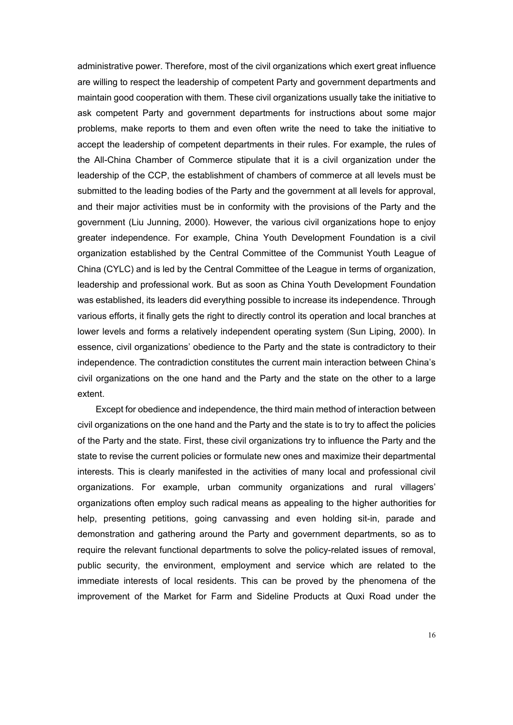administrative power. Therefore, most of the civil organizations which exert great influence are willing to respect the leadership of competent Party and government departments and maintain good cooperation with them. These civil organizations usually take the initiative to ask competent Party and government departments for instructions about some major problems, make reports to them and even often write the need to take the initiative to accept the leadership of competent departments in their rules. For example, the rules of the All-China Chamber of Commerce stipulate that it is a civil organization under the leadership of the CCP, the establishment of chambers of commerce at all levels must be submitted to the leading bodies of the Party and the government at all levels for approval, and their major activities must be in conformity with the provisions of the Party and the government (Liu Junning, 2000). However, the various civil organizations hope to enjoy greater independence. For example, China Youth Development Foundation is a civil organization established by the Central Committee of the Communist Youth League of China (CYLC) and is led by the Central Committee of the League in terms of organization, leadership and professional work. But as soon as China Youth Development Foundation was established, its leaders did everything possible to increase its independence. Through various efforts, it finally gets the right to directly control its operation and local branches at lower levels and forms a relatively independent operating system (Sun Liping, 2000). In essence, civil organizations' obedience to the Party and the state is contradictory to their independence. The contradiction constitutes the current main interaction between China's civil organizations on the one hand and the Party and the state on the other to a large extent.

Except for obedience and independence, the third main method of interaction between civil organizations on the one hand and the Party and the state is to try to affect the policies of the Party and the state. First, these civil organizations try to influence the Party and the state to revise the current policies or formulate new ones and maximize their departmental interests. This is clearly manifested in the activities of many local and professional civil organizations. For example, urban community organizations and rural villagers' organizations often employ such radical means as appealing to the higher authorities for help, presenting petitions, going canvassing and even holding sit-in, parade and demonstration and gathering around the Party and government departments, so as to require the relevant functional departments to solve the policy-related issues of removal, public security, the environment, employment and service which are related to the immediate interests of local residents. This can be proved by the phenomena of the improvement of the Market for Farm and Sideline Products at Quxi Road under the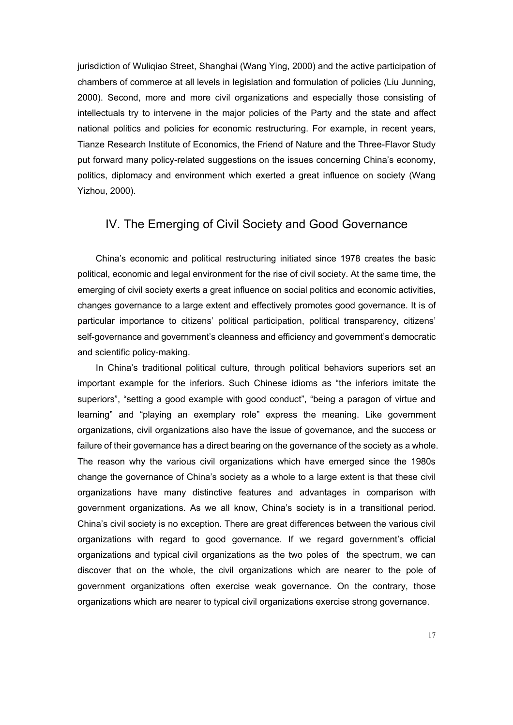jurisdiction of Wuliqiao Street, Shanghai (Wang Ying, 2000) and the active participation of chambers of commerce at all levels in legislation and formulation of policies (Liu Junning, 2000). Second, more and more civil organizations and especially those consisting of intellectuals try to intervene in the major policies of the Party and the state and affect national politics and policies for economic restructuring. For example, in recent years, Tianze Research Institute of Economics, the Friend of Nature and the Three-Flavor Study put forward many policy-related suggestions on the issues concerning China's economy, politics, diplomacy and environment which exerted a great influence on society (Wang Yizhou, 2000).

#### IV. The Emerging of Civil Society and Good Governance

China's economic and political restructuring initiated since 1978 creates the basic political, economic and legal environment for the rise of civil society. At the same time, the emerging of civil society exerts a great influence on social politics and economic activities, changes governance to a large extent and effectively promotes good governance. It is of particular importance to citizens' political participation, political transparency, citizens' self-governance and government's cleanness and efficiency and government's democratic and scientific policy-making.

In China's traditional political culture, through political behaviors superiors set an important example for the inferiors. Such Chinese idioms as "the inferiors imitate the superiors", "setting a good example with good conduct", "being a paragon of virtue and learning" and "playing an exemplary role" express the meaning. Like government organizations, civil organizations also have the issue of governance, and the success or failure of their governance has a direct bearing on the governance of the society as a whole. The reason why the various civil organizations which have emerged since the 1980s change the governance of China's society as a whole to a large extent is that these civil organizations have many distinctive features and advantages in comparison with government organizations. As we all know, China's society is in a transitional period. China's civil society is no exception. There are great differences between the various civil organizations with regard to good governance. If we regard government's official organizations and typical civil organizations as the two poles of the spectrum, we can discover that on the whole, the civil organizations which are nearer to the pole of government organizations often exercise weak governance. On the contrary, those organizations which are nearer to typical civil organizations exercise strong governance.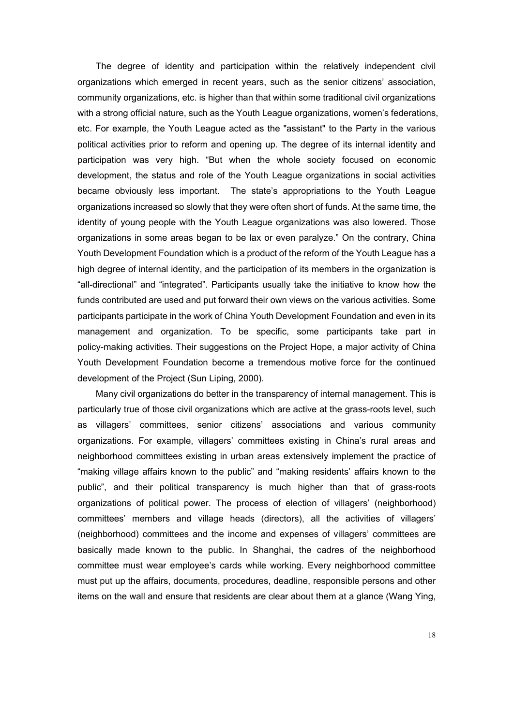The degree of identity and participation within the relatively independent civil organizations which emerged in recent years, such as the senior citizens' association, community organizations, etc. is higher than that within some traditional civil organizations with a strong official nature, such as the Youth League organizations, women's federations, etc. For example, the Youth League acted as the "assistant" to the Party in the various political activities prior to reform and opening up. The degree of its internal identity and participation was very high. "But when the whole society focused on economic development, the status and role of the Youth League organizations in social activities became obviously less important. The state's appropriations to the Youth League organizations increased so slowly that they were often short of funds. At the same time, the identity of young people with the Youth League organizations was also lowered. Those organizations in some areas began to be lax or even paralyze." On the contrary, China Youth Development Foundation which is a product of the reform of the Youth League has a high degree of internal identity, and the participation of its members in the organization is "all-directional" and "integrated". Participants usually take the initiative to know how the funds contributed are used and put forward their own views on the various activities. Some participants participate in the work of China Youth Development Foundation and even in its management and organization. To be specific, some participants take part in policy-making activities. Their suggestions on the Project Hope, a major activity of China Youth Development Foundation become a tremendous motive force for the continued development of the Project (Sun Liping, 2000).

Many civil organizations do better in the transparency of internal management. This is particularly true of those civil organizations which are active at the grass-roots level, such as villagers' committees, senior citizens' associations and various community organizations. For example, villagers' committees existing in China's rural areas and neighborhood committees existing in urban areas extensively implement the practice of "making village affairs known to the public" and "making residents' affairs known to the public", and their political transparency is much higher than that of grass-roots organizations of political power. The process of election of villagers' (neighborhood) committees' members and village heads (directors), all the activities of villagers' (neighborhood) committees and the income and expenses of villagers' committees are basically made known to the public. In Shanghai, the cadres of the neighborhood committee must wear employee's cards while working. Every neighborhood committee must put up the affairs, documents, procedures, deadline, responsible persons and other items on the wall and ensure that residents are clear about them at a glance (Wang Ying,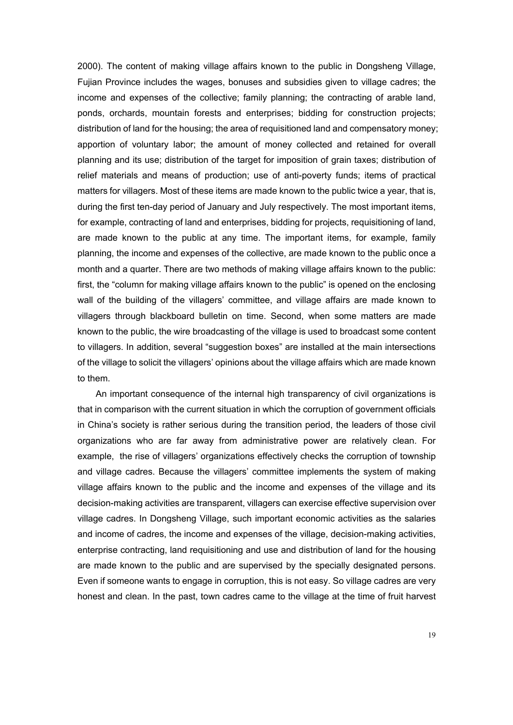2000). The content of making village affairs known to the public in Dongsheng Village, Fujian Province includes the wages, bonuses and subsidies given to village cadres; the income and expenses of the collective; family planning; the contracting of arable land, ponds, orchards, mountain forests and enterprises; bidding for construction projects; distribution of land for the housing; the area of requisitioned land and compensatory money; apportion of voluntary labor; the amount of money collected and retained for overall planning and its use; distribution of the target for imposition of grain taxes; distribution of relief materials and means of production; use of anti-poverty funds; items of practical matters for villagers. Most of these items are made known to the public twice a year, that is, during the first ten-day period of January and July respectively. The most important items, for example, contracting of land and enterprises, bidding for projects, requisitioning of land, are made known to the public at any time. The important items, for example, family planning, the income and expenses of the collective, are made known to the public once a month and a quarter. There are two methods of making village affairs known to the public: first, the "column for making village affairs known to the public" is opened on the enclosing wall of the building of the villagers' committee, and village affairs are made known to villagers through blackboard bulletin on time. Second, when some matters are made known to the public, the wire broadcasting of the village is used to broadcast some content to villagers. In addition, several "suggestion boxes" are installed at the main intersections of the village to solicit the villagers' opinions about the village affairs which are made known to them.

An important consequence of the internal high transparency of civil organizations is that in comparison with the current situation in which the corruption of government officials in China's society is rather serious during the transition period, the leaders of those civil organizations who are far away from administrative power are relatively clean. For example, the rise of villagers' organizations effectively checks the corruption of township and village cadres. Because the villagers' committee implements the system of making village affairs known to the public and the income and expenses of the village and its decision-making activities are transparent, villagers can exercise effective supervision over village cadres. In Dongsheng Village, such important economic activities as the salaries and income of cadres, the income and expenses of the village, decision-making activities, enterprise contracting, land requisitioning and use and distribution of land for the housing are made known to the public and are supervised by the specially designated persons. Even if someone wants to engage in corruption, this is not easy. So village cadres are very honest and clean. In the past, town cadres came to the village at the time of fruit harvest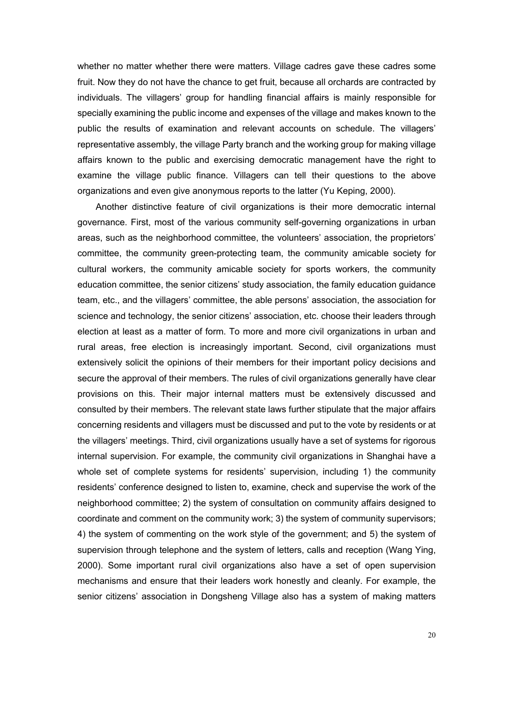whether no matter whether there were matters. Village cadres gave these cadres some fruit. Now they do not have the chance to get fruit, because all orchards are contracted by individuals. The villagers' group for handling financial affairs is mainly responsible for specially examining the public income and expenses of the village and makes known to the public the results of examination and relevant accounts on schedule. The villagers' representative assembly, the village Party branch and the working group for making village affairs known to the public and exercising democratic management have the right to examine the village public finance. Villagers can tell their questions to the above organizations and even give anonymous reports to the latter (Yu Keping, 2000).

Another distinctive feature of civil organizations is their more democratic internal governance. First, most of the various community self-governing organizations in urban areas, such as the neighborhood committee, the volunteers' association, the proprietors' committee, the community green-protecting team, the community amicable society for cultural workers, the community amicable society for sports workers, the community education committee, the senior citizens' study association, the family education guidance team, etc., and the villagers' committee, the able persons' association, the association for science and technology, the senior citizens' association, etc. choose their leaders through election at least as a matter of form. To more and more civil organizations in urban and rural areas, free election is increasingly important. Second, civil organizations must extensively solicit the opinions of their members for their important policy decisions and secure the approval of their members. The rules of civil organizations generally have clear provisions on this. Their major internal matters must be extensively discussed and consulted by their members. The relevant state laws further stipulate that the major affairs concerning residents and villagers must be discussed and put to the vote by residents or at the villagers' meetings. Third, civil organizations usually have a set of systems for rigorous internal supervision. For example, the community civil organizations in Shanghai have a whole set of complete systems for residents' supervision, including 1) the community residents' conference designed to listen to, examine, check and supervise the work of the neighborhood committee; 2) the system of consultation on community affairs designed to coordinate and comment on the community work; 3) the system of community supervisors; 4) the system of commenting on the work style of the government; and 5) the system of supervision through telephone and the system of letters, calls and reception (Wang Ying, 2000). Some important rural civil organizations also have a set of open supervision mechanisms and ensure that their leaders work honestly and cleanly. For example, the senior citizens' association in Dongsheng Village also has a system of making matters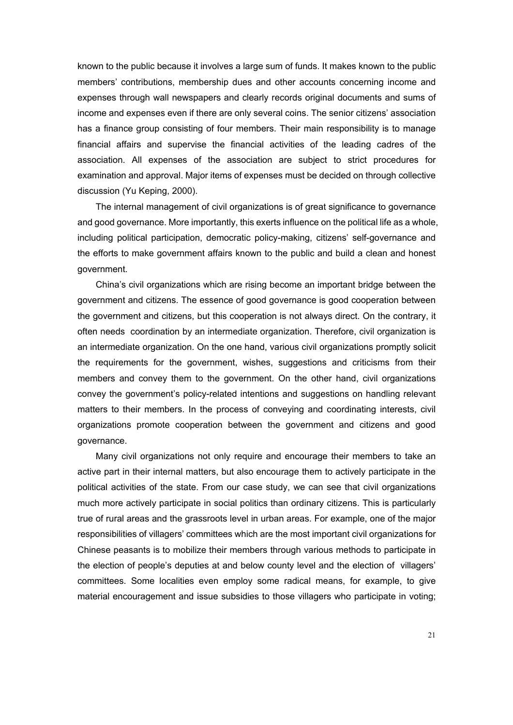known to the public because it involves a large sum of funds. It makes known to the public members' contributions, membership dues and other accounts concerning income and expenses through wall newspapers and clearly records original documents and sums of income and expenses even if there are only several coins. The senior citizens' association has a finance group consisting of four members. Their main responsibility is to manage financial affairs and supervise the financial activities of the leading cadres of the association. All expenses of the association are subject to strict procedures for examination and approval. Major items of expenses must be decided on through collective discussion (Yu Keping, 2000).

The internal management of civil organizations is of great significance to governance and good governance. More importantly, this exerts influence on the political life as a whole, including political participation, democratic policy-making, citizens' self-governance and the efforts to make government affairs known to the public and build a clean and honest government.

China's civil organizations which are rising become an important bridge between the government and citizens. The essence of good governance is good cooperation between the government and citizens, but this cooperation is not always direct. On the contrary, it often needs coordination by an intermediate organization. Therefore, civil organization is an intermediate organization. On the one hand, various civil organizations promptly solicit the requirements for the government, wishes, suggestions and criticisms from their members and convey them to the government. On the other hand, civil organizations convey the government's policy-related intentions and suggestions on handling relevant matters to their members. In the process of conveying and coordinating interests, civil organizations promote cooperation between the government and citizens and good governance.

Many civil organizations not only require and encourage their members to take an active part in their internal matters, but also encourage them to actively participate in the political activities of the state. From our case study, we can see that civil organizations much more actively participate in social politics than ordinary citizens. This is particularly true of rural areas and the grassroots level in urban areas. For example, one of the major responsibilities of villagers' committees which are the most important civil organizations for Chinese peasants is to mobilize their members through various methods to participate in the election of people's deputies at and below county level and the election of villagers' committees. Some localities even employ some radical means, for example, to give material encouragement and issue subsidies to those villagers who participate in voting;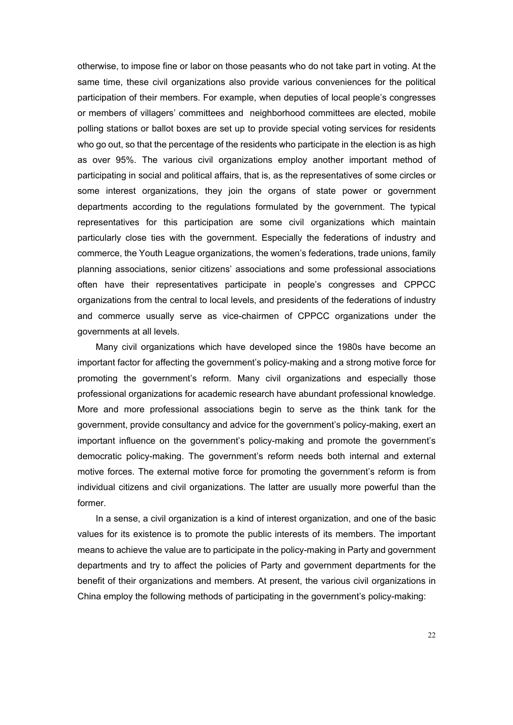otherwise, to impose fine or labor on those peasants who do not take part in voting. At the same time, these civil organizations also provide various conveniences for the political participation of their members. For example, when deputies of local people's congresses or members of villagers' committees and neighborhood committees are elected, mobile polling stations or ballot boxes are set up to provide special voting services for residents who go out, so that the percentage of the residents who participate in the election is as high as over 95%. The various civil organizations employ another important method of participating in social and political affairs, that is, as the representatives of some circles or some interest organizations, they join the organs of state power or government departments according to the regulations formulated by the government. The typical representatives for this participation are some civil organizations which maintain particularly close ties with the government. Especially the federations of industry and commerce, the Youth League organizations, the women's federations, trade unions, family planning associations, senior citizens' associations and some professional associations often have their representatives participate in people's congresses and CPPCC organizations from the central to local levels, and presidents of the federations of industry and commerce usually serve as vice-chairmen of CPPCC organizations under the governments at all levels.

Many civil organizations which have developed since the 1980s have become an important factor for affecting the government's policy-making and a strong motive force for promoting the government's reform. Many civil organizations and especially those professional organizations for academic research have abundant professional knowledge. More and more professional associations begin to serve as the think tank for the government, provide consultancy and advice for the government's policy-making, exert an important influence on the government's policy-making and promote the government's democratic policy-making. The government's reform needs both internal and external motive forces. The external motive force for promoting the government's reform is from individual citizens and civil organizations. The latter are usually more powerful than the former.

In a sense, a civil organization is a kind of interest organization, and one of the basic values for its existence is to promote the public interests of its members. The important means to achieve the value are to participate in the policy-making in Party and government departments and try to affect the policies of Party and government departments for the benefit of their organizations and members. At present, the various civil organizations in China employ the following methods of participating in the government's policy-making: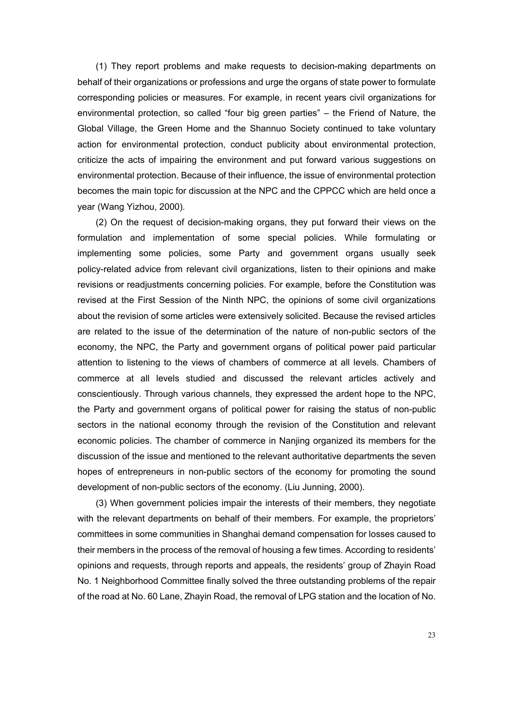(1) They report problems and make requests to decision-making departments on behalf of their organizations or professions and urge the organs of state power to formulate corresponding policies or measures. For example, in recent years civil organizations for environmental protection, so called "four big green parties" – the Friend of Nature, the Global Village, the Green Home and the Shannuo Society continued to take voluntary action for environmental protection, conduct publicity about environmental protection, criticize the acts of impairing the environment and put forward various suggestions on environmental protection. Because of their influence, the issue of environmental protection becomes the main topic for discussion at the NPC and the CPPCC which are held once a year (Wang Yizhou, 2000).

(2) On the request of decision-making organs, they put forward their views on the formulation and implementation of some special policies. While formulating or implementing some policies, some Party and government organs usually seek policy-related advice from relevant civil organizations, listen to their opinions and make revisions or readjustments concerning policies. For example, before the Constitution was revised at the First Session of the Ninth NPC, the opinions of some civil organizations about the revision of some articles were extensively solicited. Because the revised articles are related to the issue of the determination of the nature of non-public sectors of the economy, the NPC, the Party and government organs of political power paid particular attention to listening to the views of chambers of commerce at all levels. Chambers of commerce at all levels studied and discussed the relevant articles actively and conscientiously. Through various channels, they expressed the ardent hope to the NPC, the Party and government organs of political power for raising the status of non-public sectors in the national economy through the revision of the Constitution and relevant economic policies. The chamber of commerce in Nanjing organized its members for the discussion of the issue and mentioned to the relevant authoritative departments the seven hopes of entrepreneurs in non-public sectors of the economy for promoting the sound development of non-public sectors of the economy. (Liu Junning, 2000).

(3) When government policies impair the interests of their members, they negotiate with the relevant departments on behalf of their members. For example, the proprietors' committees in some communities in Shanghai demand compensation for losses caused to their members in the process of the removal of housing a few times. According to residents' opinions and requests, through reports and appeals, the residents' group of Zhayin Road No. 1 Neighborhood Committee finally solved the three outstanding problems of the repair of the road at No. 60 Lane, Zhayin Road, the removal of LPG station and the location of No.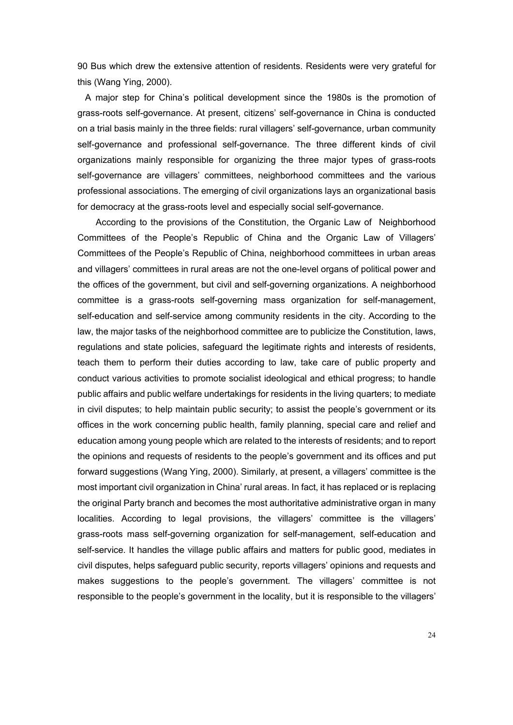90 Bus which drew the extensive attention of residents. Residents were very grateful for this (Wang Ying, 2000).

A major step for China's political development since the 1980s is the promotion of grass-roots self-governance. At present, citizens' self-governance in China is conducted on a trial basis mainly in the three fields: rural villagers' self-governance, urban community self-governance and professional self-governance. The three different kinds of civil organizations mainly responsible for organizing the three major types of grass-roots self-governance are villagers' committees, neighborhood committees and the various professional associations. The emerging of civil organizations lays an organizational basis for democracy at the grass-roots level and especially social self-governance.

According to the provisions of the Constitution, the Organic Law of Neighborhood Committees of the People's Republic of China and the Organic Law of Villagers' Committees of the People's Republic of China, neighborhood committees in urban areas and villagers' committees in rural areas are not the one-level organs of political power and the offices of the government, but civil and self-governing organizations. A neighborhood committee is a grass-roots self-governing mass organization for self-management, self-education and self-service among community residents in the city. According to the law, the major tasks of the neighborhood committee are to publicize the Constitution, laws, regulations and state policies, safeguard the legitimate rights and interests of residents, teach them to perform their duties according to law, take care of public property and conduct various activities to promote socialist ideological and ethical progress; to handle public affairs and public welfare undertakings for residents in the living quarters; to mediate in civil disputes; to help maintain public security; to assist the people's government or its offices in the work concerning public health, family planning, special care and relief and education among young people which are related to the interests of residents; and to report the opinions and requests of residents to the people's government and its offices and put forward suggestions (Wang Ying, 2000). Similarly, at present, a villagers' committee is the most important civil organization in China' rural areas. In fact, it has replaced or is replacing the original Party branch and becomes the most authoritative administrative organ in many localities. According to legal provisions, the villagers' committee is the villagers' grass-roots mass self-governing organization for self-management, self-education and self-service. It handles the village public affairs and matters for public good, mediates in civil disputes, helps safeguard public security, reports villagers' opinions and requests and makes suggestions to the people's government. The villagers' committee is not responsible to the people's government in the locality, but it is responsible to the villagers'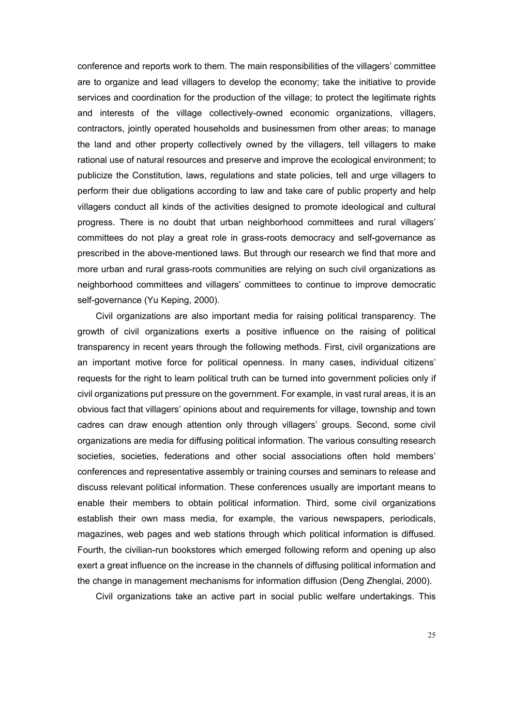conference and reports work to them. The main responsibilities of the villagers' committee are to organize and lead villagers to develop the economy; take the initiative to provide services and coordination for the production of the village; to protect the legitimate rights and interests of the village collectively-owned economic organizations, villagers, contractors, jointly operated households and businessmen from other areas; to manage the land and other property collectively owned by the villagers, tell villagers to make rational use of natural resources and preserve and improve the ecological environment; to publicize the Constitution, laws, regulations and state policies, tell and urge villagers to perform their due obligations according to law and take care of public property and help villagers conduct all kinds of the activities designed to promote ideological and cultural progress. There is no doubt that urban neighborhood committees and rural villagers' committees do not play a great role in grass-roots democracy and self-governance as prescribed in the above-mentioned laws. But through our research we find that more and more urban and rural grass-roots communities are relying on such civil organizations as neighborhood committees and villagers' committees to continue to improve democratic self-governance (Yu Keping, 2000).

Civil organizations are also important media for raising political transparency. The growth of civil organizations exerts a positive influence on the raising of political transparency in recent years through the following methods. First, civil organizations are an important motive force for political openness. In many cases, individual citizens' requests for the right to learn political truth can be turned into government policies only if civil organizations put pressure on the government. For example, in vast rural areas, it is an obvious fact that villagers' opinions about and requirements for village, township and town cadres can draw enough attention only through villagers' groups. Second, some civil organizations are media for diffusing political information. The various consulting research societies, societies, federations and other social associations often hold members' conferences and representative assembly or training courses and seminars to release and discuss relevant political information. These conferences usually are important means to enable their members to obtain political information. Third, some civil organizations establish their own mass media, for example, the various newspapers, periodicals, magazines, web pages and web stations through which political information is diffused. Fourth, the civilian-run bookstores which emerged following reform and opening up also exert a great influence on the increase in the channels of diffusing political information and the change in management mechanisms for information diffusion (Deng Zhenglai, 2000).

Civil organizations take an active part in social public welfare undertakings. This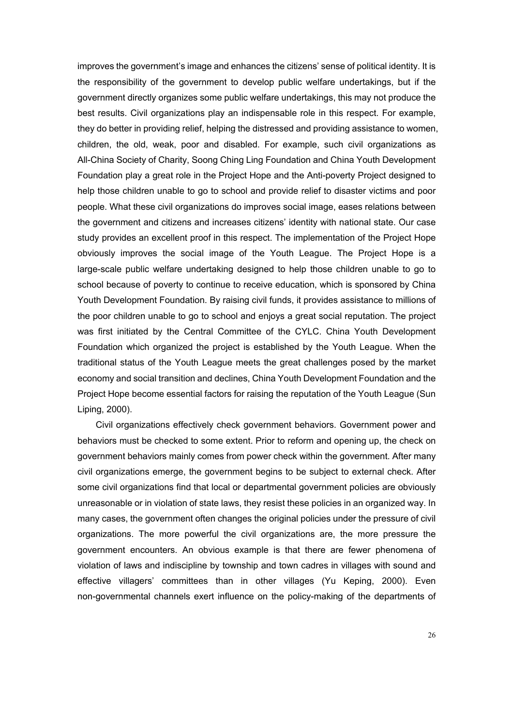improves the government's image and enhances the citizens' sense of political identity. It is the responsibility of the government to develop public welfare undertakings, but if the government directly organizes some public welfare undertakings, this may not produce the best results. Civil organizations play an indispensable role in this respect. For example, they do better in providing relief, helping the distressed and providing assistance to women, children, the old, weak, poor and disabled. For example, such civil organizations as All-China Society of Charity, Soong Ching Ling Foundation and China Youth Development Foundation play a great role in the Project Hope and the Anti-poverty Project designed to help those children unable to go to school and provide relief to disaster victims and poor people. What these civil organizations do improves social image, eases relations between the government and citizens and increases citizens' identity with national state. Our case study provides an excellent proof in this respect. The implementation of the Project Hope obviously improves the social image of the Youth League. The Project Hope is a large-scale public welfare undertaking designed to help those children unable to go to school because of poverty to continue to receive education, which is sponsored by China Youth Development Foundation. By raising civil funds, it provides assistance to millions of the poor children unable to go to school and enjoys a great social reputation. The project was first initiated by the Central Committee of the CYLC. China Youth Development Foundation which organized the project is established by the Youth League. When the traditional status of the Youth League meets the great challenges posed by the market economy and social transition and declines, China Youth Development Foundation and the Project Hope become essential factors for raising the reputation of the Youth League (Sun Liping, 2000).

Civil organizations effectively check government behaviors. Government power and behaviors must be checked to some extent. Prior to reform and opening up, the check on government behaviors mainly comes from power check within the government. After many civil organizations emerge, the government begins to be subject to external check. After some civil organizations find that local or departmental government policies are obviously unreasonable or in violation of state laws, they resist these policies in an organized way. In many cases, the government often changes the original policies under the pressure of civil organizations. The more powerful the civil organizations are, the more pressure the government encounters. An obvious example is that there are fewer phenomena of violation of laws and indiscipline by township and town cadres in villages with sound and effective villagers' committees than in other villages (Yu Keping, 2000). Even non-governmental channels exert influence on the policy-making of the departments of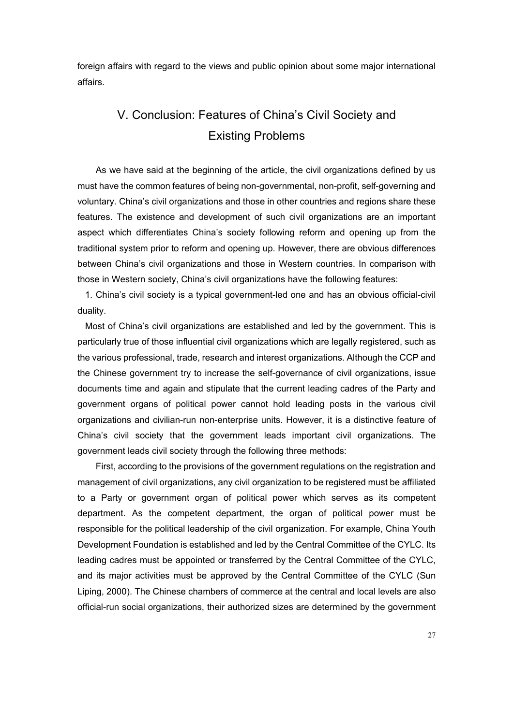foreign affairs with regard to the views and public opinion about some major international affairs.

## V. Conclusion: Features of China's Civil Society and Existing Problems

As we have said at the beginning of the article, the civil organizations defined by us must have the common features of being non-governmental, non-profit, self-governing and voluntary. China's civil organizations and those in other countries and regions share these features. The existence and development of such civil organizations are an important aspect which differentiates China's society following reform and opening up from the traditional system prior to reform and opening up. However, there are obvious differences between China's civil organizations and those in Western countries. In comparison with those in Western society, China's civil organizations have the following features:

1. China's civil society is a typical government-led one and has an obvious official-civil duality.

Most of China's civil organizations are established and led by the government. This is particularly true of those influential civil organizations which are legally registered, such as the various professional, trade, research and interest organizations. Although the CCP and the Chinese government try to increase the self-governance of civil organizations, issue documents time and again and stipulate that the current leading cadres of the Party and government organs of political power cannot hold leading posts in the various civil organizations and civilian-run non-enterprise units. However, it is a distinctive feature of China's civil society that the government leads important civil organizations. The government leads civil society through the following three methods:

First, according to the provisions of the government regulations on the registration and management of civil organizations, any civil organization to be registered must be affiliated to a Party or government organ of political power which serves as its competent department. As the competent department, the organ of political power must be responsible for the political leadership of the civil organization. For example, China Youth Development Foundation is established and led by the Central Committee of the CYLC. Its leading cadres must be appointed or transferred by the Central Committee of the CYLC, and its major activities must be approved by the Central Committee of the CYLC (Sun Liping, 2000). The Chinese chambers of commerce at the central and local levels are also official-run social organizations, their authorized sizes are determined by the government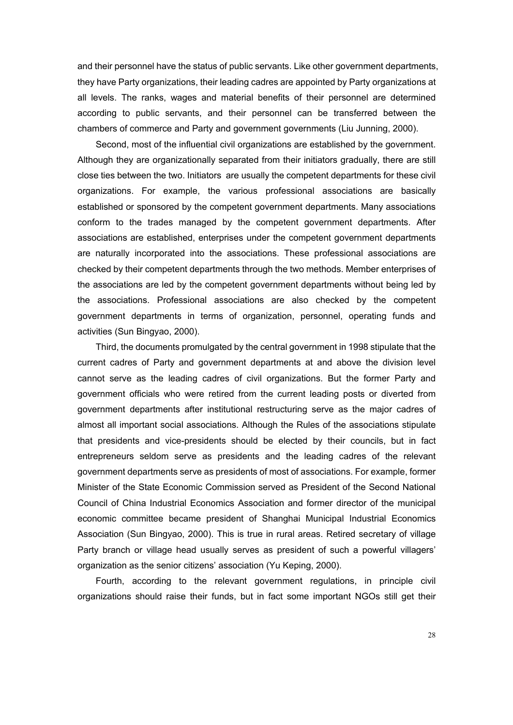and their personnel have the status of public servants. Like other government departments, they have Party organizations, their leading cadres are appointed by Party organizations at all levels. The ranks, wages and material benefits of their personnel are determined according to public servants, and their personnel can be transferred between the chambers of commerce and Party and government governments (Liu Junning, 2000).

Second, most of the influential civil organizations are established by the government. Although they are organizationally separated from their initiators gradually, there are still close ties between the two. Initiators are usually the competent departments for these civil organizations. For example, the various professional associations are basically established or sponsored by the competent government departments. Many associations conform to the trades managed by the competent government departments. After associations are established, enterprises under the competent government departments are naturally incorporated into the associations. These professional associations are checked by their competent departments through the two methods. Member enterprises of the associations are led by the competent government departments without being led by the associations. Professional associations are also checked by the competent government departments in terms of organization, personnel, operating funds and activities (Sun Bingyao, 2000).

Third, the documents promulgated by the central government in 1998 stipulate that the current cadres of Party and government departments at and above the division level cannot serve as the leading cadres of civil organizations. But the former Party and government officials who were retired from the current leading posts or diverted from government departments after institutional restructuring serve as the major cadres of almost all important social associations. Although the Rules of the associations stipulate that presidents and vice-presidents should be elected by their councils, but in fact entrepreneurs seldom serve as presidents and the leading cadres of the relevant government departments serve as presidents of most of associations. For example, former Minister of the State Economic Commission served as President of the Second National Council of China Industrial Economics Association and former director of the municipal economic committee became president of Shanghai Municipal Industrial Economics Association (Sun Bingyao, 2000). This is true in rural areas. Retired secretary of village Party branch or village head usually serves as president of such a powerful villagers' organization as the senior citizens' association (Yu Keping, 2000).

Fourth, according to the relevant government regulations, in principle civil organizations should raise their funds, but in fact some important NGOs still get their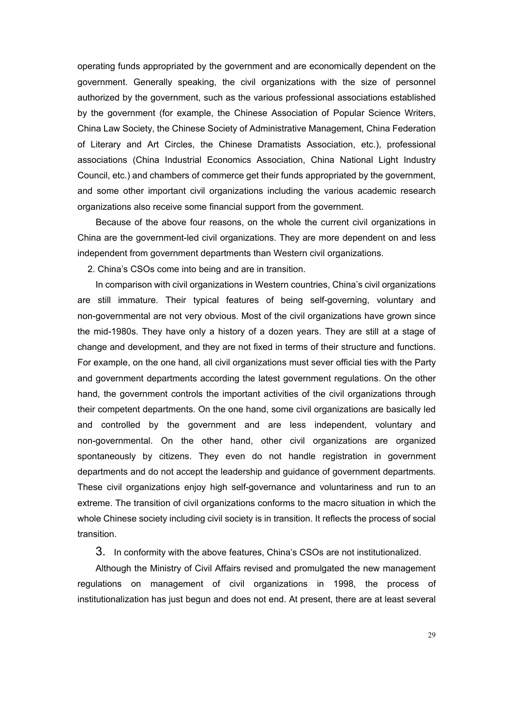operating funds appropriated by the government and are economically dependent on the government. Generally speaking, the civil organizations with the size of personnel authorized by the government, such as the various professional associations established by the government (for example, the Chinese Association of Popular Science Writers, China Law Society, the Chinese Society of Administrative Management, China Federation of Literary and Art Circles, the Chinese Dramatists Association, etc.), professional associations (China Industrial Economics Association, China National Light Industry Council, etc.) and chambers of commerce get their funds appropriated by the government, and some other important civil organizations including the various academic research organizations also receive some financial support from the government.

Because of the above four reasons, on the whole the current civil organizations in China are the government-led civil organizations. They are more dependent on and less independent from government departments than Western civil organizations.

2. China's CSOs come into being and are in transition.

In comparison with civil organizations in Western countries, China's civil organizations are still immature. Their typical features of being self-governing, voluntary and non-governmental are not very obvious. Most of the civil organizations have grown since the mid-1980s. They have only a history of a dozen years. They are still at a stage of change and development, and they are not fixed in terms of their structure and functions. For example, on the one hand, all civil organizations must sever official ties with the Party and government departments according the latest government regulations. On the other hand, the government controls the important activities of the civil organizations through their competent departments. On the one hand, some civil organizations are basically led and controlled by the government and are less independent, voluntary and non-governmental. On the other hand, other civil organizations are organized spontaneously by citizens. They even do not handle registration in government departments and do not accept the leadership and guidance of government departments. These civil organizations enjoy high self-governance and voluntariness and run to an extreme. The transition of civil organizations conforms to the macro situation in which the whole Chinese society including civil society is in transition. It reflects the process of social transition.

3. In conformity with the above features, China's CSOs are not institutionalized.

Although the Ministry of Civil Affairs revised and promulgated the new management regulations on management of civil organizations in 1998, the process of institutionalization has just begun and does not end. At present, there are at least several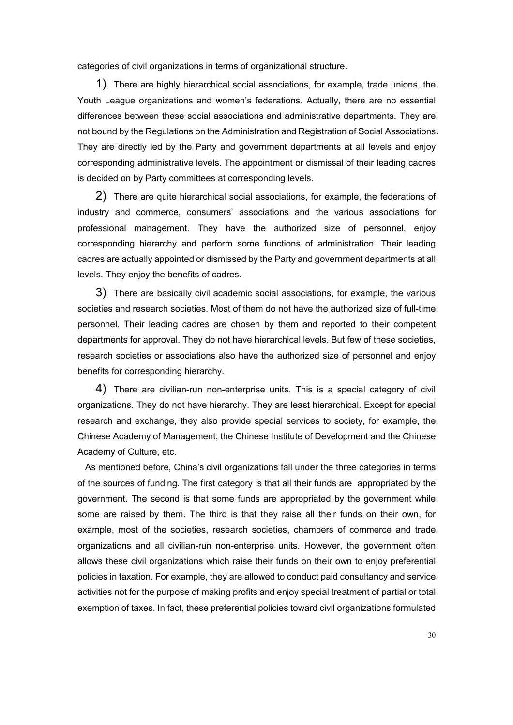categories of civil organizations in terms of organizational structure.

1) There are highly hierarchical social associations, for example, trade unions, the Youth League organizations and women's federations. Actually, there are no essential differences between these social associations and administrative departments. They are not bound by the Regulations on the Administration and Registration of Social Associations. They are directly led by the Party and government departments at all levels and enjoy corresponding administrative levels. The appointment or dismissal of their leading cadres is decided on by Party committees at corresponding levels.

2) There are quite hierarchical social associations, for example, the federations of industry and commerce, consumers' associations and the various associations for professional management. They have the authorized size of personnel, enjoy corresponding hierarchy and perform some functions of administration. Their leading cadres are actually appointed or dismissed by the Party and government departments at all levels. They enjoy the benefits of cadres.

3) There are basically civil academic social associations, for example, the various societies and research societies. Most of them do not have the authorized size of full-time personnel. Their leading cadres are chosen by them and reported to their competent departments for approval. They do not have hierarchical levels. But few of these societies, research societies or associations also have the authorized size of personnel and enjoy benefits for corresponding hierarchy.

4) There are civilian-run non-enterprise units. This is a special category of civil organizations. They do not have hierarchy. They are least hierarchical. Except for special research and exchange, they also provide special services to society, for example, the Chinese Academy of Management, the Chinese Institute of Development and the Chinese Academy of Culture, etc.

 As mentioned before, China's civil organizations fall under the three categories in terms of the sources of funding. The first category is that all their funds are appropriated by the government. The second is that some funds are appropriated by the government while some are raised by them. The third is that they raise all their funds on their own, for example, most of the societies, research societies, chambers of commerce and trade organizations and all civilian-run non-enterprise units. However, the government often allows these civil organizations which raise their funds on their own to enjoy preferential policies in taxation. For example, they are allowed to conduct paid consultancy and service activities not for the purpose of making profits and enjoy special treatment of partial or total exemption of taxes. In fact, these preferential policies toward civil organizations formulated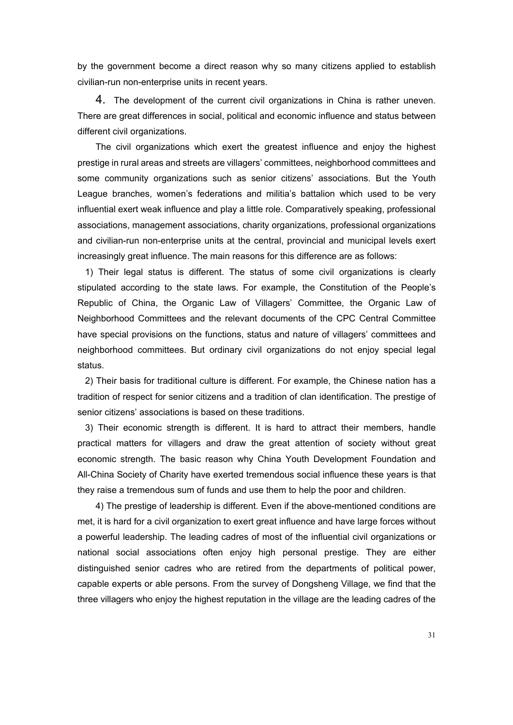by the government become a direct reason why so many citizens applied to establish civilian-run non-enterprise units in recent years.

4. The development of the current civil organizations in China is rather uneven. There are great differences in social, political and economic influence and status between different civil organizations.

The civil organizations which exert the greatest influence and enjoy the highest prestige in rural areas and streets are villagers' committees, neighborhood committees and some community organizations such as senior citizens' associations. But the Youth League branches, women's federations and militia's battalion which used to be very influential exert weak influence and play a little role. Comparatively speaking, professional associations, management associations, charity organizations, professional organizations and civilian-run non-enterprise units at the central, provincial and municipal levels exert increasingly great influence. The main reasons for this difference are as follows:

1) Their legal status is different. The status of some civil organizations is clearly stipulated according to the state laws. For example, the Constitution of the People's Republic of China, the Organic Law of Villagers' Committee, the Organic Law of Neighborhood Committees and the relevant documents of the CPC Central Committee have special provisions on the functions, status and nature of villagers' committees and neighborhood committees. But ordinary civil organizations do not enjoy special legal status.

2) Their basis for traditional culture is different. For example, the Chinese nation has a tradition of respect for senior citizens and a tradition of clan identification. The prestige of senior citizens' associations is based on these traditions.

3) Their economic strength is different. It is hard to attract their members, handle practical matters for villagers and draw the great attention of society without great economic strength. The basic reason why China Youth Development Foundation and All-China Society of Charity have exerted tremendous social influence these years is that they raise a tremendous sum of funds and use them to help the poor and children.

4) The prestige of leadership is different. Even if the above-mentioned conditions are met, it is hard for a civil organization to exert great influence and have large forces without a powerful leadership. The leading cadres of most of the influential civil organizations or national social associations often enjoy high personal prestige. They are either distinguished senior cadres who are retired from the departments of political power, capable experts or able persons. From the survey of Dongsheng Village, we find that the three villagers who enjoy the highest reputation in the village are the leading cadres of the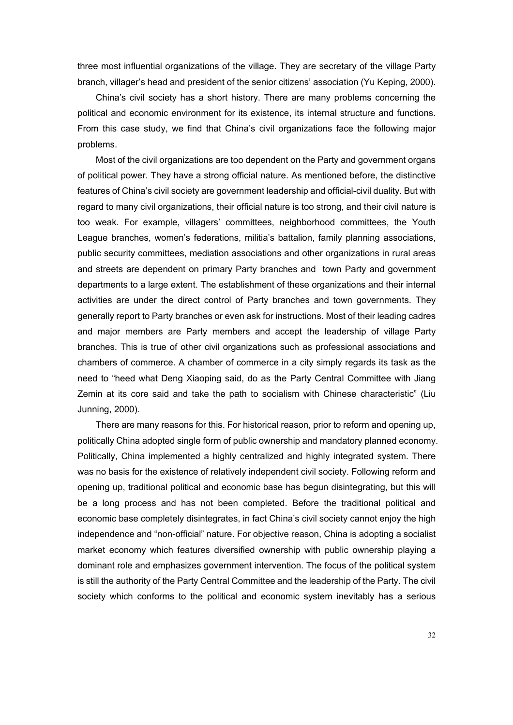three most influential organizations of the village. They are secretary of the village Party branch, villager's head and president of the senior citizens' association (Yu Keping, 2000).

China's civil society has a short history. There are many problems concerning the political and economic environment for its existence, its internal structure and functions. From this case study, we find that China's civil organizations face the following major problems.

Most of the civil organizations are too dependent on the Party and government organs of political power. They have a strong official nature. As mentioned before, the distinctive features of China's civil society are government leadership and official-civil duality. But with regard to many civil organizations, their official nature is too strong, and their civil nature is too weak. For example, villagers' committees, neighborhood committees, the Youth League branches, women's federations, militia's battalion, family planning associations, public security committees, mediation associations and other organizations in rural areas and streets are dependent on primary Party branches and town Party and government departments to a large extent. The establishment of these organizations and their internal activities are under the direct control of Party branches and town governments. They generally report to Party branches or even ask for instructions. Most of their leading cadres and major members are Party members and accept the leadership of village Party branches. This is true of other civil organizations such as professional associations and chambers of commerce. A chamber of commerce in a city simply regards its task as the need to "heed what Deng Xiaoping said, do as the Party Central Committee with Jiang Zemin at its core said and take the path to socialism with Chinese characteristic" (Liu Junning, 2000).

There are many reasons for this. For historical reason, prior to reform and opening up, politically China adopted single form of public ownership and mandatory planned economy. Politically, China implemented a highly centralized and highly integrated system. There was no basis for the existence of relatively independent civil society. Following reform and opening up, traditional political and economic base has begun disintegrating, but this will be a long process and has not been completed. Before the traditional political and economic base completely disintegrates, in fact China's civil society cannot enjoy the high independence and "non-official" nature. For objective reason, China is adopting a socialist market economy which features diversified ownership with public ownership playing a dominant role and emphasizes government intervention. The focus of the political system is still the authority of the Party Central Committee and the leadership of the Party. The civil society which conforms to the political and economic system inevitably has a serious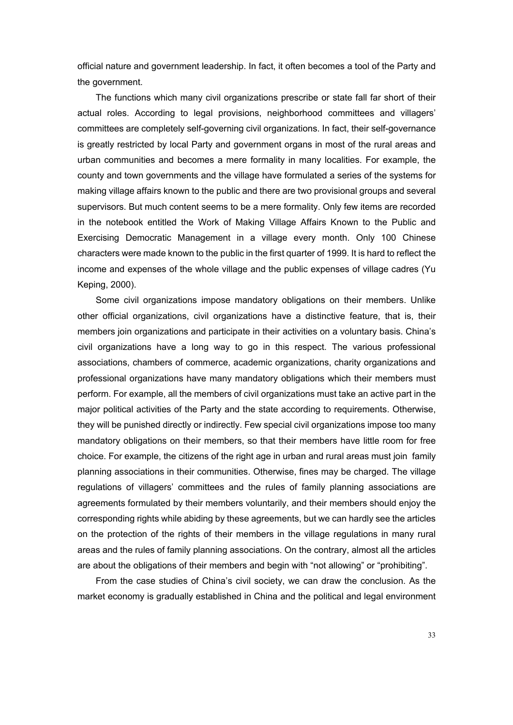official nature and government leadership. In fact, it often becomes a tool of the Party and the government.

The functions which many civil organizations prescribe or state fall far short of their actual roles. According to legal provisions, neighborhood committees and villagers' committees are completely self-governing civil organizations. In fact, their self-governance is greatly restricted by local Party and government organs in most of the rural areas and urban communities and becomes a mere formality in many localities. For example, the county and town governments and the village have formulated a series of the systems for making village affairs known to the public and there are two provisional groups and several supervisors. But much content seems to be a mere formality. Only few items are recorded in the notebook entitled the Work of Making Village Affairs Known to the Public and Exercising Democratic Management in a village every month. Only 100 Chinese characters were made known to the public in the first quarter of 1999. It is hard to reflect the income and expenses of the whole village and the public expenses of village cadres (Yu Keping, 2000).

Some civil organizations impose mandatory obligations on their members. Unlike other official organizations, civil organizations have a distinctive feature, that is, their members join organizations and participate in their activities on a voluntary basis. China's civil organizations have a long way to go in this respect. The various professional associations, chambers of commerce, academic organizations, charity organizations and professional organizations have many mandatory obligations which their members must perform. For example, all the members of civil organizations must take an active part in the major political activities of the Party and the state according to requirements. Otherwise, they will be punished directly or indirectly. Few special civil organizations impose too many mandatory obligations on their members, so that their members have little room for free choice. For example, the citizens of the right age in urban and rural areas must join family planning associations in their communities. Otherwise, fines may be charged. The village regulations of villagers' committees and the rules of family planning associations are agreements formulated by their members voluntarily, and their members should enjoy the corresponding rights while abiding by these agreements, but we can hardly see the articles on the protection of the rights of their members in the village regulations in many rural areas and the rules of family planning associations. On the contrary, almost all the articles are about the obligations of their members and begin with "not allowing" or "prohibiting".

From the case studies of China's civil society, we can draw the conclusion. As the market economy is gradually established in China and the political and legal environment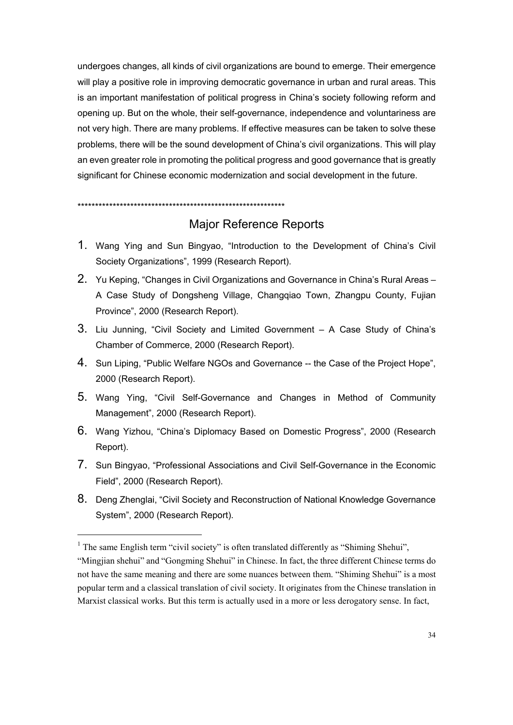undergoes changes, all kinds of civil organizations are bound to emerge. Their emergence will play a positive role in improving democratic governance in urban and rural areas. This is an important manifestation of political progress in China's society following reform and opening up. But on the whole, their self-governance, independence and voluntariness are not very high. There are many problems. If effective measures can be taken to solve these problems, there will be the sound development of China's civil organizations. This will play an even greater role in promoting the political progress and good governance that is greatly significant for Chinese economic modernization and social development in the future.

\*\*\*\*\*\*\*\*\*\*\*\*\*\*\*\*\*\*\*\*\*\*\*\*\*\*\*\*\*\*\*\*\*\*\*\*\*\*\*\*\*\*\*\*\*\*\*\*\*\*\*\*\*\*\*\*\*\*\*

## Major Reference Reports

- 1. Wang Ying and Sun Bingyao, "Introduction to the Development of China's Civil Society Organizations", 1999 (Research Report).
- 2. Yu Keping, "Changes in Civil Organizations and Governance in China's Rural Areas A Case Study of Dongsheng Village, Changqiao Town, Zhangpu County, Fujian Province", 2000 (Research Report).
- 3. Liu Junning, "Civil Society and Limited Government A Case Study of China's Chamber of Commerce, 2000 (Research Report).
- 4. Sun Liping, "Public Welfare NGOs and Governance -- the Case of the Project Hope", 2000 (Research Report).
- 5. Wang Ying, "Civil Self-Governance and Changes in Method of Community Management", 2000 (Research Report).
- 6. Wang Yizhou, "China's Diplomacy Based on Domestic Progress", 2000 (Research Report).
- 7. Sun Bingyao, "Professional Associations and Civil Self-Governance in the Economic Field", 2000 (Research Report).
- 8. Deng Zhenglai, "Civil Society and Reconstruction of National Knowledge Governance System", 2000 (Research Report).

 $\overline{a}$ 

<sup>&</sup>lt;sup>1</sup> The same English term "civil society" is often translated differently as "Shiming Shehui",

<sup>&</sup>quot;Mingjian shehui" and "Gongming Shehui" in Chinese. In fact, the three different Chinese terms do not have the same meaning and there are some nuances between them. "Shiming Shehui" is a most popular term and a classical translation of civil society. It originates from the Chinese translation in Marxist classical works. But this term is actually used in a more or less derogatory sense. In fact,